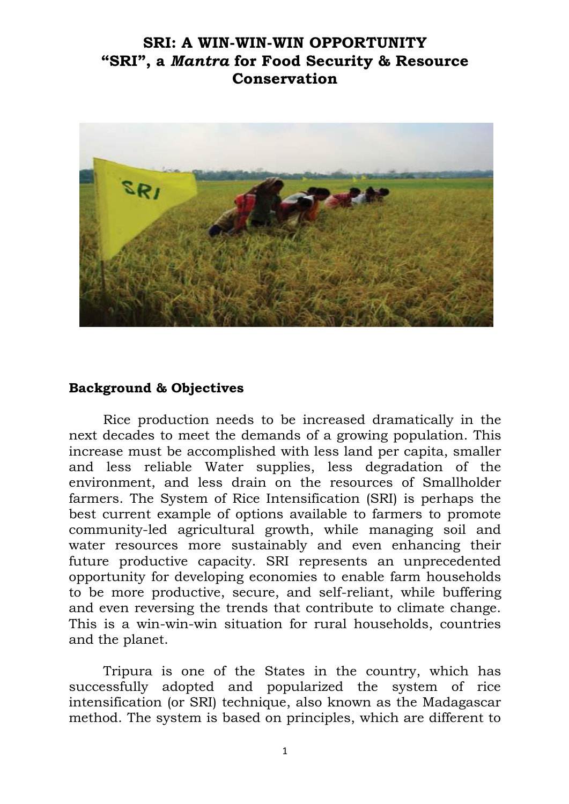# **SRI: A WIN-WIN-WIN OPPORTUNITY "SRI", a** *Mantra* **for Food Security & Resource Conservation**



#### **Background & Objectives**

Rice production needs to be increased dramatically in the next decades to meet the demands of a growing population. This increase must be accomplished with less land per capita, smaller and less reliable Water supplies, less degradation of the environment, and less drain on the resources of Smallholder farmers. The System of Rice Intensification (SRI) is perhaps the best current example of options available to farmers to promote community-led agricultural growth, while managing soil and water resources more sustainably and even enhancing their future productive capacity. SRI represents an unprecedented opportunity for developing economies to enable farm households to be more productive, secure, and self-reliant, while buffering and even reversing the trends that contribute to climate change. This is a win-win-win situation for rural households, countries and the planet.

Tripura is one of the States in the country, which has successfully adopted and popularized the system of rice intensification (or SRI) technique, also known as the Madagascar method. The system is based on principles, which are different to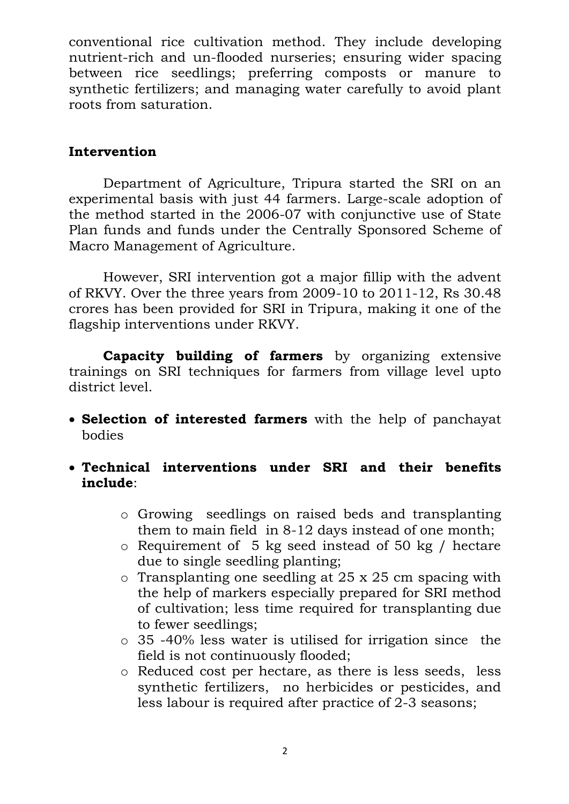conventional rice cultivation method. They include developing nutrient-rich and un-flooded nurseries; ensuring wider spacing between rice seedlings; preferring composts or manure to synthetic fertilizers; and managing water carefully to avoid plant roots from saturation.

## **Intervention**

Department of Agriculture, Tripura started the SRI on an experimental basis with just 44 farmers. Large-scale adoption of the method started in the 2006-07 with conjunctive use of State Plan funds and funds under the Centrally Sponsored Scheme of Macro Management of Agriculture.

However, SRI intervention got a major fillip with the advent of RKVY. Over the three years from 2009-10 to 2011-12, Rs 30.48 crores has been provided for SRI in Tripura, making it one of the flagship interventions under RKVY.

**Capacity building of farmers** by organizing extensive trainings on SRI techniques for farmers from village level upto district level.

- **Selection of interested farmers** with the help of panchayat bodies
- **Technical interventions under SRI and their benefits include**:
	- o Growing seedlings on raised beds and transplanting them to main field in 8-12 days instead of one month;
	- o Requirement of 5 kg seed instead of 50 kg / hectare due to single seedling planting;
	- o Transplanting one seedling at 25 x 25 cm spacing with the help of markers especially prepared for SRI method of cultivation; less time required for transplanting due to fewer seedlings;
	- o 35 -40% less water is utilised for irrigation since the field is not continuously flooded;
	- o Reduced cost per hectare, as there is less seeds, less synthetic fertilizers, no herbicides or pesticides, and less labour is required after practice of 2-3 seasons;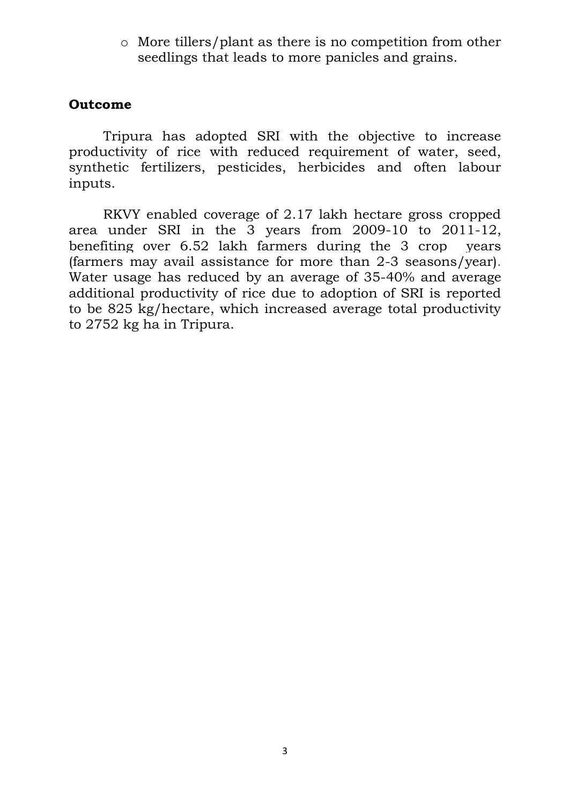o More tillers/plant as there is no competition from other seedlings that leads to more panicles and grains.

#### **Outcome**

Tripura has adopted SRI with the objective to increase productivity of rice with reduced requirement of water, seed, synthetic fertilizers, pesticides, herbicides and often labour inputs.

RKVY enabled coverage of 2.17 lakh hectare gross cropped area under SRI in the 3 years from 2009-10 to 2011-12, benefiting over 6.52 lakh farmers during the 3 crop years (farmers may avail assistance for more than 2-3 seasons/year). Water usage has reduced by an average of 35-40% and average additional productivity of rice due to adoption of SRI is reported to be 825 kg/hectare, which increased average total productivity to 2752 kg ha in Tripura.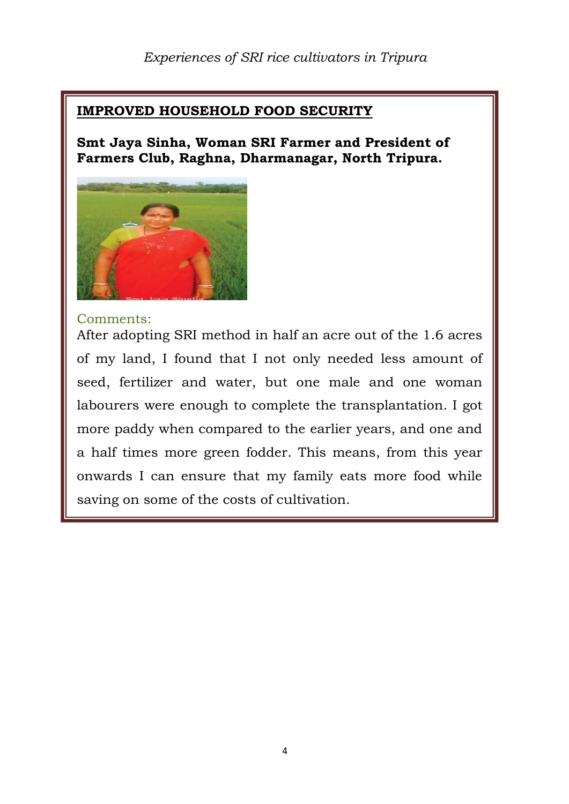## **IMPROVED HOUSEHOLD FOOD SECURITY**

### **Smt Jaya Sinha, Woman SRI Farmer and President of Farmers Club, Raghna, Dharmanagar, North Tripura.**



#### Comments:

After adopting SRI method in half an acre out of the 1.6 acres of my land, I found that I not only needed less amount of seed, fertilizer and water, but one male and one woman labourers were enough to complete the transplantation. I got more paddy when compared to the earlier years, and one and a half times more green fodder. This means, from this year onwards I can ensure that my family eats more food while saving on some of the costs of cultivation.